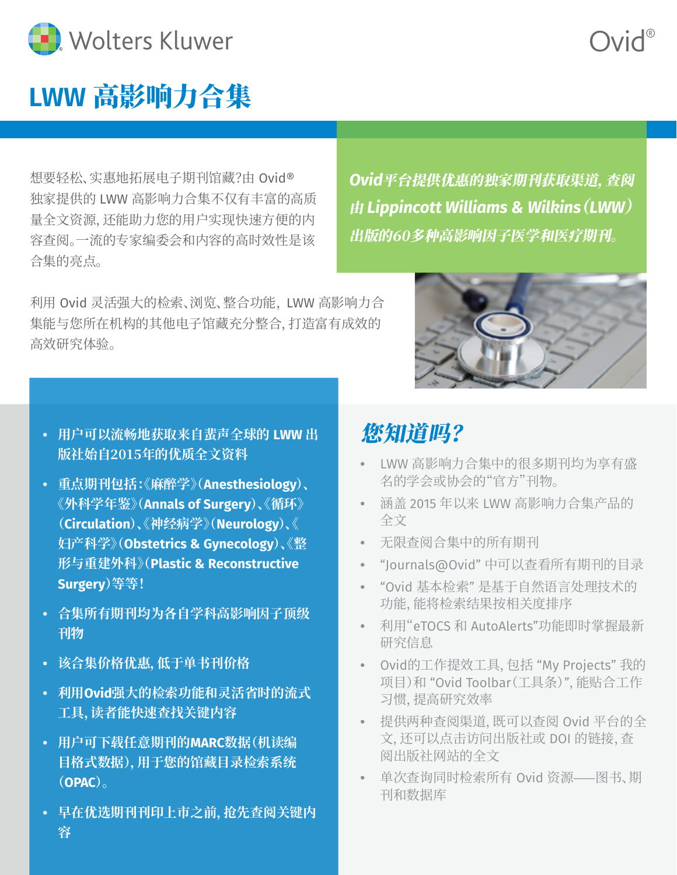

### **LWW** 高影响力合集

想要轻松、实惠地拓展电子期刊馆藏?由 Ovid® 独家提供的 LWW 高影响力合集不仅有丰富的高质 量全文资源,还能助力您的用户实现快速方便的内 容查阅。一流的专家编委会和内容的高时效性是该 合集的亮点。

利用 Ovid 灵活强大的检索、浏览、整合功能, LWW 高影响力合 集能与您所在机构的其他电子馆藏充分整合,打造富有成效的 高效研究体验。

- **• 用户可以流畅地获取来自蜚声全球的 LWW 出 版社始自2015年的优质全文资料**
- **• 重点期刊包括:《麻醉学》(Anesthesiology)、 《外科学年鉴》(Annals of Surgery)、《循环》 (Circulation)、《神经病学》(Neurology)、《 妇产科学》(Obstetrics & Gynecology)、《整 形与重建外科》(Plastic & Reconstructive Surgery)等等!**
- **• 合集所有期刊均为各自学科高影响因子顶级 刊物**
- **• 该合集价格优惠,低于单书刊价格**
- **• 利用Ovid强大的检索功能和灵活省时的流式 工具,读者能快速查找关键内容**
- **• 用户可下载任意期刊的MARC数据(机读编 目格式数据),用于您的馆藏目录检索系统 (OPAC)。**
- **• 早在优选期刊刊印上市之前,抢先查阅关键内 容**

## 您知道吗?

- **•** LWW 高影响力合集中的很多期刊均为享有盛 名的学会或协会的"官方"刊物。
- **•** 涵盖 2015 年以来 LWW 高影响力合集产品的 全文
- **•** 无限查阅合集中的所有期刊
- **•** "Journals@Ovid" 中可以查看所有期刊的目录
- **•** "Ovid 基本检索" 是基于自然语言处理技术的 功能,能将检索结果按相关度排序
- **•** 利用"eTOCS 和 AutoAlerts"功能即时掌握最新 研究信息
- **•** Ovid的工作提效工具,包括 "My Projects" 我的 项目)和 "Ovid Toolbar(工具条)",能贴合工作 习惯,提高研究效率
- **•** 提供两种查阅渠道,既可以查阅 Ovid 平台的全 文,还可以点击访问出版社或 DOI 的链接,查 阅出版社网站的全文
- **•** 单次查询同时检索所有 Ovid 资源——图书、期 刊和数据库



*Ovid*平台提供优惠的独家期刊获取渠道,查阅

由 *Lippincott Williams & Wilkins*(*LWW*)

出版的60多种高影响因子医学和医疗期刊。

# Ovid®